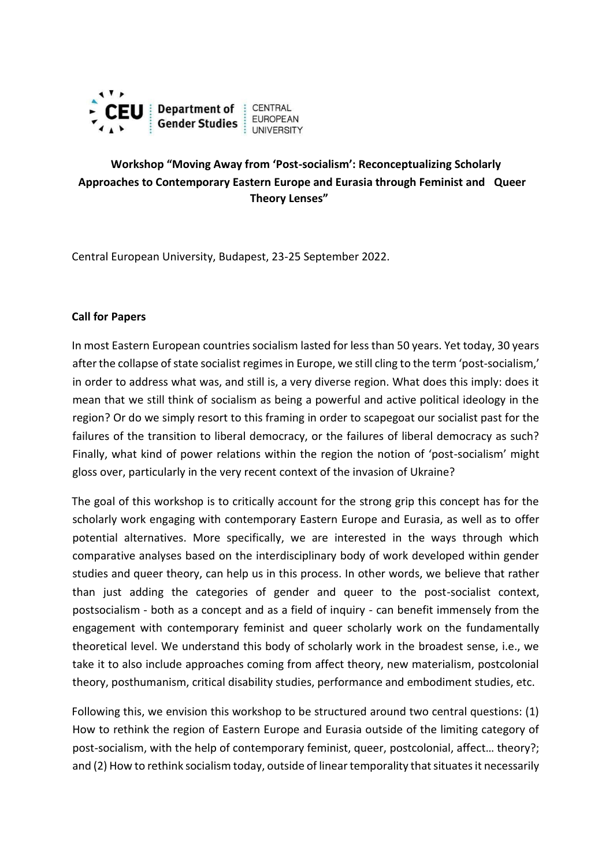

# **Workshop "Moving Away from 'Post-socialism': Reconceptualizing Scholarly Approaches to Contemporary Eastern Europe and Eurasia through Feminist and Queer Theory Lenses"**

Central European University, Budapest, 23-25 September 2022.

#### **Call for Papers**

In most Eastern European countries socialism lasted for less than 50 years. Yet today, 30 years after the collapse of state socialist regimes in Europe, we still cling to the term 'post-socialism,' in order to address what was, and still is, a very diverse region. What does this imply: does it mean that we still think of socialism as being a powerful and active political ideology in the region? Or do we simply resort to this framing in order to scapegoat our socialist past for the failures of the transition to liberal democracy, or the failures of liberal democracy as such? Finally, what kind of power relations within the region the notion of 'post-socialism' might gloss over, particularly in the very recent context of the invasion of Ukraine?

The goal of this workshop is to critically account for the strong grip this concept has for the scholarly work engaging with contemporary Eastern Europe and Eurasia, as well as to offer potential alternatives. More specifically, we are interested in the ways through which comparative analyses based on the interdisciplinary body of work developed within gender studies and queer theory, can help us in this process. In other words, we believe that rather than just adding the categories of gender and queer to the post-socialist context, postsocialism - both as a concept and as a field of inquiry - can benefit immensely from the engagement with contemporary feminist and queer scholarly work on the fundamentally theoretical level. We understand this body of scholarly work in the broadest sense, i.e., we take it to also include approaches coming from affect theory, new materialism, postcolonial theory, posthumanism, critical disability studies, performance and embodiment studies, etc.

Following this, we envision this workshop to be structured around two central questions: (1) How to rethink the region of Eastern Europe and Eurasia outside of the limiting category of post-socialism, with the help of contemporary feminist, queer, postcolonial, affect… theory?; and (2) How to rethink socialism today, outside of linear temporality that situates it necessarily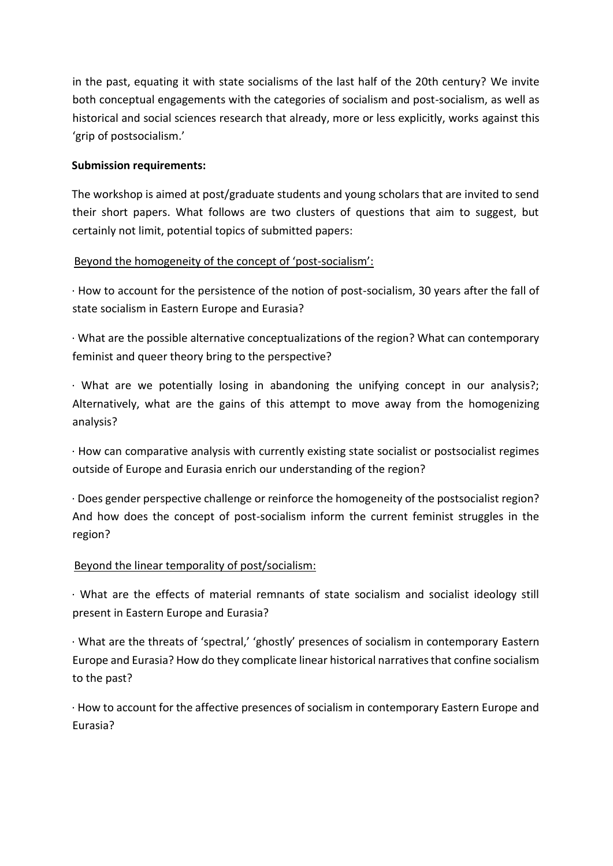in the past, equating it with state socialisms of the last half of the 20th century? We invite both conceptual engagements with the categories of socialism and post-socialism, as well as historical and social sciences research that already, more or less explicitly, works against this 'grip of postsocialism.'

#### **Submission requirements:**

The workshop is aimed at post/graduate students and young scholars that are invited to send their short papers. What follows are two clusters of questions that aim to suggest, but certainly not limit, potential topics of submitted papers:

# Beyond the homogeneity of the concept of 'post-socialism':

· How to account for the persistence of the notion of post-socialism, 30 years after the fall of state socialism in Eastern Europe and Eurasia?

· What are the possible alternative conceptualizations of the region? What can contemporary feminist and queer theory bring to the perspective?

· What are we potentially losing in abandoning the unifying concept in our analysis?; Alternatively, what are the gains of this attempt to move away from the homogenizing analysis?

· How can comparative analysis with currently existing state socialist or postsocialist regimes outside of Europe and Eurasia enrich our understanding of the region?

· Does gender perspective challenge or reinforce the homogeneity of the postsocialist region? And how does the concept of post-socialism inform the current feminist struggles in the region?

# Beyond the linear temporality of post/socialism:

· What are the effects of material remnants of state socialism and socialist ideology still present in Eastern Europe and Eurasia?

· What are the threats of 'spectral,' 'ghostly' presences of socialism in contemporary Eastern Europe and Eurasia? How do they complicate linear historical narratives that confine socialism to the past?

· How to account for the affective presences of socialism in contemporary Eastern Europe and Eurasia?